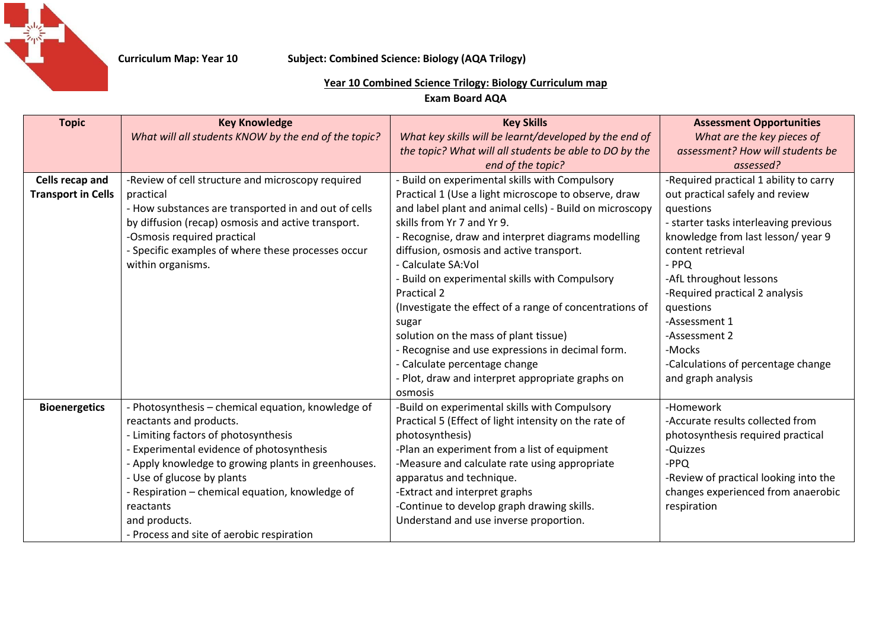

## **Curriculum Map: Year 10 Subject: Combined Science: Biology (AQA Trilogy)**

## **Year 10 Combined Science Trilogy: Biology Curriculum map**

**Exam Board AQA**

| <b>Topic</b>              | <b>Key Knowledge</b>                                 | <b>Key Skills</b>                                       | <b>Assessment Opportunities</b>        |
|---------------------------|------------------------------------------------------|---------------------------------------------------------|----------------------------------------|
|                           | What will all students KNOW by the end of the topic? | What key skills will be learnt/developed by the end of  | What are the key pieces of             |
|                           |                                                      | the topic? What will all students be able to DO by the  | assessment? How will students be       |
|                           |                                                      | end of the topic?                                       | assessed?                              |
| <b>Cells recap and</b>    | -Review of cell structure and microscopy required    | - Build on experimental skills with Compulsory          | -Required practical 1 ability to carry |
| <b>Transport in Cells</b> | practical                                            | Practical 1 (Use a light microscope to observe, draw    | out practical safely and review        |
|                           | - How substances are transported in and out of cells | and label plant and animal cells) - Build on microscopy | questions                              |
|                           | by diffusion (recap) osmosis and active transport.   | skills from Yr 7 and Yr 9.                              | - starter tasks interleaving previous  |
|                           | -Osmosis required practical                          | - Recognise, draw and interpret diagrams modelling      | knowledge from last lesson/year 9      |
|                           | - Specific examples of where these processes occur   | diffusion, osmosis and active transport.                | content retrieval                      |
|                           | within organisms.                                    | - Calculate SA: Vol                                     | - PPQ                                  |
|                           |                                                      | - Build on experimental skills with Compulsory          | -AfL throughout lessons                |
|                           |                                                      | Practical 2                                             | -Required practical 2 analysis         |
|                           |                                                      | (Investigate the effect of a range of concentrations of | questions                              |
|                           |                                                      | sugar                                                   | -Assessment 1                          |
|                           |                                                      | solution on the mass of plant tissue)                   | -Assessment 2                          |
|                           |                                                      | - Recognise and use expressions in decimal form.        | -Mocks                                 |
|                           |                                                      | - Calculate percentage change                           | -Calculations of percentage change     |
|                           |                                                      | - Plot, draw and interpret appropriate graphs on        | and graph analysis                     |
|                           |                                                      | osmosis                                                 |                                        |
| <b>Bioenergetics</b>      | - Photosynthesis - chemical equation, knowledge of   | -Build on experimental skills with Compulsory           | -Homework                              |
|                           | reactants and products.                              | Practical 5 (Effect of light intensity on the rate of   | -Accurate results collected from       |
|                           | - Limiting factors of photosynthesis                 | photosynthesis)                                         | photosynthesis required practical      |
|                           | Experimental evidence of photosynthesis              | -Plan an experiment from a list of equipment            | -Quizzes                               |
|                           | - Apply knowledge to growing plants in greenhouses.  | -Measure and calculate rate using appropriate           | -PPQ                                   |
|                           | - Use of glucose by plants                           | apparatus and technique.                                | -Review of practical looking into the  |
|                           | - Respiration - chemical equation, knowledge of      | -Extract and interpret graphs                           | changes experienced from anaerobic     |
|                           | reactants                                            | -Continue to develop graph drawing skills.              | respiration                            |
|                           | and products.                                        | Understand and use inverse proportion.                  |                                        |
|                           | - Process and site of aerobic respiration            |                                                         |                                        |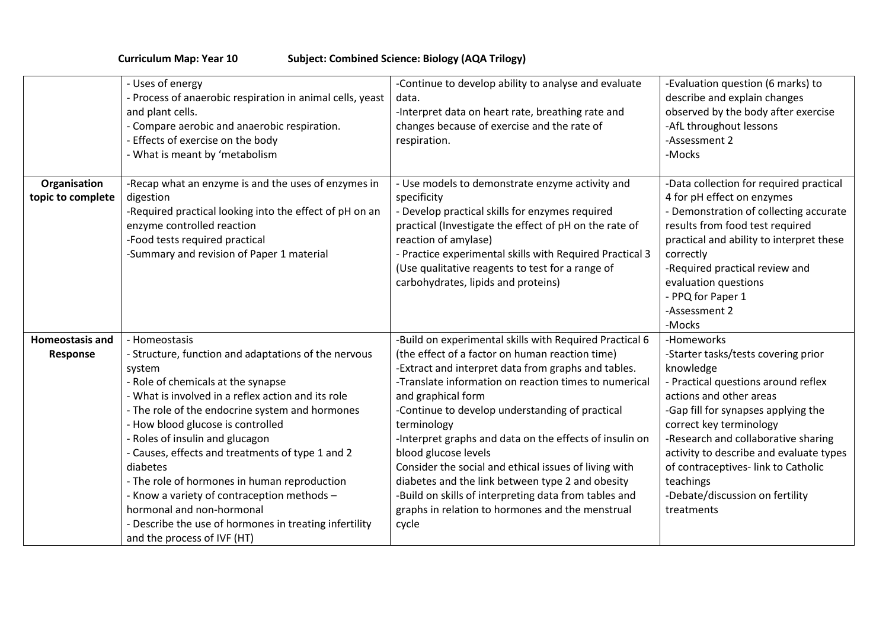**Curriculum Map: Year 10 Subject: Combined Science: Biology (AQA Trilogy)**

|                                    | - Uses of energy<br>- Process of anaerobic respiration in animal cells, yeast<br>and plant cells.<br>- Compare aerobic and anaerobic respiration.<br>- Effects of exercise on the body<br>- What is meant by 'metabolism                                                                                                                                                                                                                                                                                                                                                                    | -Continue to develop ability to analyse and evaluate<br>data.<br>-Interpret data on heart rate, breathing rate and<br>changes because of exercise and the rate of<br>respiration.                                                                                                                                                                                                                                                                                                                                                                                                                                                        | -Evaluation question (6 marks) to<br>describe and explain changes<br>observed by the body after exercise<br>-AfL throughout lessons<br>-Assessment 2<br>-Mocks                                                                                                                                                                                                                           |
|------------------------------------|---------------------------------------------------------------------------------------------------------------------------------------------------------------------------------------------------------------------------------------------------------------------------------------------------------------------------------------------------------------------------------------------------------------------------------------------------------------------------------------------------------------------------------------------------------------------------------------------|------------------------------------------------------------------------------------------------------------------------------------------------------------------------------------------------------------------------------------------------------------------------------------------------------------------------------------------------------------------------------------------------------------------------------------------------------------------------------------------------------------------------------------------------------------------------------------------------------------------------------------------|------------------------------------------------------------------------------------------------------------------------------------------------------------------------------------------------------------------------------------------------------------------------------------------------------------------------------------------------------------------------------------------|
| Organisation<br>topic to complete  | -Recap what an enzyme is and the uses of enzymes in<br>digestion<br>-Required practical looking into the effect of pH on an<br>enzyme controlled reaction<br>-Food tests required practical<br>-Summary and revision of Paper 1 material                                                                                                                                                                                                                                                                                                                                                    | - Use models to demonstrate enzyme activity and<br>specificity<br>- Develop practical skills for enzymes required<br>practical (Investigate the effect of pH on the rate of<br>reaction of amylase)<br>- Practice experimental skills with Required Practical 3<br>(Use qualitative reagents to test for a range of<br>carbohydrates, lipids and proteins)                                                                                                                                                                                                                                                                               | -Data collection for required practical<br>4 for pH effect on enzymes<br>- Demonstration of collecting accurate<br>results from food test required<br>practical and ability to interpret these<br>correctly<br>-Required practical review and<br>evaluation questions<br>- PPQ for Paper 1<br>-Assessment 2<br>-Mocks                                                                    |
| <b>Homeostasis and</b><br>Response | - Homeostasis<br>- Structure, function and adaptations of the nervous<br>system<br>- Role of chemicals at the synapse<br>- What is involved in a reflex action and its role<br>- The role of the endocrine system and hormones<br>- How blood glucose is controlled<br>- Roles of insulin and glucagon<br>- Causes, effects and treatments of type 1 and 2<br>diabetes<br>- The role of hormones in human reproduction<br>- Know a variety of contraception methods -<br>hormonal and non-hormonal<br>- Describe the use of hormones in treating infertility<br>and the process of IVF (HT) | -Build on experimental skills with Required Practical 6<br>(the effect of a factor on human reaction time)<br>-Extract and interpret data from graphs and tables.<br>-Translate information on reaction times to numerical<br>and graphical form<br>-Continue to develop understanding of practical<br>terminology<br>-Interpret graphs and data on the effects of insulin on<br>blood glucose levels<br>Consider the social and ethical issues of living with<br>diabetes and the link between type 2 and obesity<br>-Build on skills of interpreting data from tables and<br>graphs in relation to hormones and the menstrual<br>cycle | -Homeworks<br>-Starter tasks/tests covering prior<br>knowledge<br>- Practical questions around reflex<br>actions and other areas<br>-Gap fill for synapses applying the<br>correct key terminology<br>-Research and collaborative sharing<br>activity to describe and evaluate types<br>of contraceptives-link to Catholic<br>teachings<br>-Debate/discussion on fertility<br>treatments |